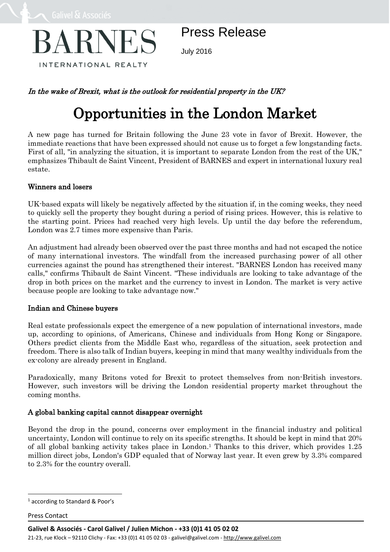

Press Release

July 2016

# In the wake of Brexit, what is the outlook for residential property in the UK?

# Opportunities in the London Market

A new page has turned for Britain following the June 23 vote in favor of Brexit. However, the immediate reactions that have been expressed should not cause us to forget a few longstanding facts. First of all, "in analyzing the situation, it is important to separate London from the rest of the UK," emphasizes Thibault de Saint Vincent, President of BARNES and expert in international luxury real estate.

## Winners and losers

UK-based expats will likely be negatively affected by the situation if, in the coming weeks, they need to quickly sell the property they bought during a period of rising prices. However, this is relative to the starting point. Prices had reached very high levels. Up until the day before the referendum, London was 2.7 times more expensive than Paris.

An adjustment had already been observed over the past three months and had not escaped the notice of many international investors. The windfall from the increased purchasing power of all other currencies against the pound has strengthened their interest. "BARNES London has received many calls," confirms Thibault de Saint Vincent. "These individuals are looking to take advantage of the drop in both prices on the market and the currency to invest in London. The market is very active because people are looking to take advantage now."

### Indian and Chinese buyers

Real estate professionals expect the emergence of a new population of international investors, made up, according to opinions, of Americans, Chinese and individuals from Hong Kong or Singapore. Others predict clients from the Middle East who, regardless of the situation, seek protection and freedom. There is also talk of Indian buyers, keeping in mind that many wealthy individuals from the ex-colony are already present in England.

Paradoxically, many Britons voted for Brexit to protect themselves from non-British investors. However, such investors will be driving the London residential property market throughout the coming months.

## A global banking capital cannot disappear overnight

Beyond the drop in the pound, concerns over employment in the financial industry and political uncertainty, London will continue to rely on its specific strengths. It should be kept in mind that 20% of all global banking activity takes place in London. <sup>1</sup> Thanks to this driver, which provides 1.25 million direct jobs, London's GDP equaled that of Norway last year. It even grew by 3.3% compared to 2.3% for the country overall.

Press Contact

 $\overline{a}$ 

<sup>1</sup> according to Standard & Poor's